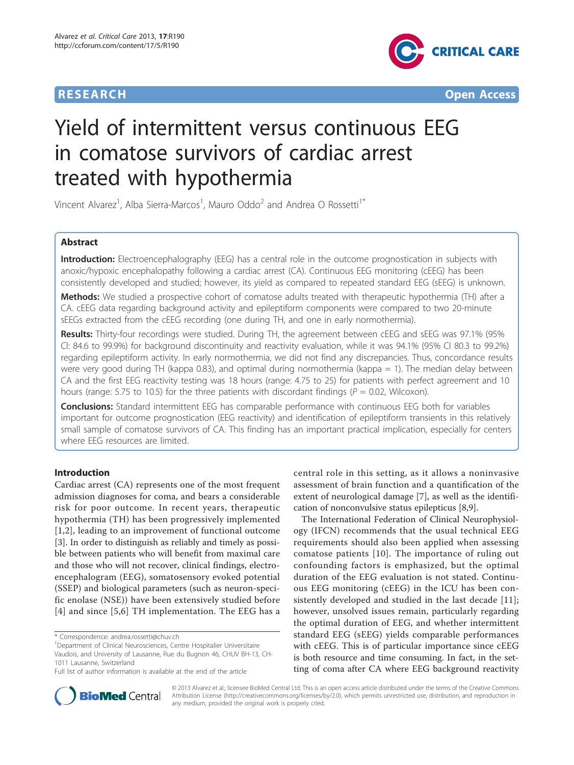

**RESEARCH CONTROL** CONTROL CONTROL CONTROL CONTROL CONTROL CONTROL CONTROL CONTROL CONTROL CONTROL CONTROL CONTROL CONTROL CONTROL CONTROL CONTROL CONTROL CONTROL CONTROL CONTROL CONTROL CONTROL CONTROL CONTROL CONTROL CON

# Yield of intermittent versus continuous EEG in comatose survivors of cardiac arrest treated with hypothermia

Vincent Alvarez<sup>1</sup>, Alba Sierra-Marcos<sup>1</sup>, Mauro Oddo<sup>2</sup> and Andrea O Rossetti<sup>1\*</sup>

# Abstract

Introduction: Electroencephalography (EEG) has a central role in the outcome prognostication in subjects with anoxic/hypoxic encephalopathy following a cardiac arrest (CA). Continuous EEG monitoring (cEEG) has been consistently developed and studied; however, its yield as compared to repeated standard EEG (sEEG) is unknown.

Methods: We studied a prospective cohort of comatose adults treated with therapeutic hypothermia (TH) after a CA. cEEG data regarding background activity and epileptiform components were compared to two 20-minute sEEGs extracted from the cEEG recording (one during TH, and one in early normothermia).

Results: Thirty-four recordings were studied. During TH, the agreement between cEEG and sEEG was 97.1% (95% CI: 84.6 to 99.9%) for background discontinuity and reactivity evaluation, while it was 94.1% (95% CI 80.3 to 99.2%) regarding epileptiform activity. In early normothermia, we did not find any discrepancies. Thus, concordance results were very good during TH (kappa 0.83), and optimal during normothermia (kappa = 1). The median delay between CA and the first EEG reactivity testing was 18 hours (range: 4.75 to 25) for patients with perfect agreement and 10 hours (range: 5.75 to 10.5) for the three patients with discordant findings ( $P = 0.02$ , Wilcoxon).

**Conclusions:** Standard intermittent EEG has comparable performance with continuous EEG both for variables important for outcome prognostication (EEG reactivity) and identification of epileptiform transients in this relatively small sample of comatose survivors of CA. This finding has an important practical implication, especially for centers where EEG resources are limited.

# Introduction

Cardiac arrest (CA) represents one of the most frequent admission diagnoses for coma, and bears a considerable risk for poor outcome. In recent years, therapeutic hypothermia (TH) has been progressively implemented [[1,2](#page-5-0)], leading to an improvement of functional outcome [[3\]](#page-5-0). In order to distinguish as reliably and timely as possible between patients who will benefit from maximal care and those who will not recover, clinical findings, electroencephalogram (EEG), somatosensory evoked potential (SSEP) and biological parameters (such as neuron-specific enolase (NSE)) have been extensively studied before [[4](#page-5-0)] and since [[5](#page-5-0),[6\]](#page-5-0) TH implementation. The EEG has a

central role in this setting, as it allows a noninvasive assessment of brain function and a quantification of the extent of neurological damage [\[7](#page-5-0)], as well as the identification of nonconvulsive status epilepticus [\[8,9](#page-5-0)].

The International Federation of Clinical Neurophysiology (IFCN) recommends that the usual technical EEG requirements should also been applied when assessing comatose patients [[10](#page-5-0)]. The importance of ruling out confounding factors is emphasized, but the optimal duration of the EEG evaluation is not stated. Continuous EEG monitoring (cEEG) in the ICU has been consistently developed and studied in the last decade [[11](#page-5-0)]; however, unsolved issues remain, particularly regarding the optimal duration of EEG, and whether intermittent standard EEG (sEEG) yields comparable performances with cEEG. This is of particular importance since cEEG is both resource and time consuming. In fact, in the setting of coma after CA where EEG background reactivity



© 2013 Alvarez et al.; licensee BioMed Central Ltd. This is an open access article distributed under the terms of the Creative Commons Attribution License [\(http://creativecommons.org/licenses/by/2.0](http://creativecommons.org/licenses/by/2.0)), which permits unrestricted use, distribution, and reproduction in any medium, provided the original work is properly cited.

<sup>\*</sup> Correspondence: [andrea.rossetti@chuv.ch](mailto:andrea.rossetti@chuv.ch)

<sup>&</sup>lt;sup>1</sup>Department of Clinical Neurosciences, Centre Hospitalier Universitaire Vaudois, and University of Lausanne, Rue du Bugnon 46, CHUV BH-13, CH-1011 Lausanne, Switzerland

Full list of author information is available at the end of the article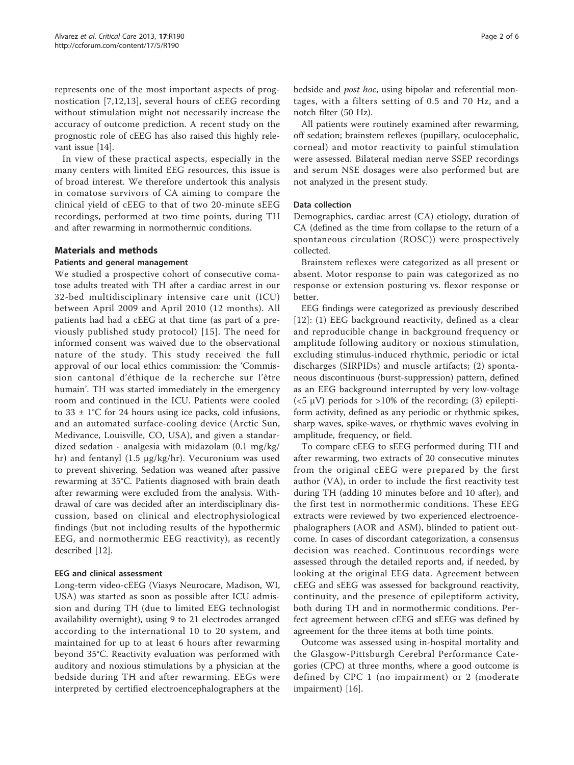represents one of the most important aspects of prognostication [[7,12,13](#page-5-0)], several hours of cEEG recording without stimulation might not necessarily increase the accuracy of outcome prediction. A recent study on the prognostic role of cEEG has also raised this highly relevant issue [\[14](#page-5-0)].

In view of these practical aspects, especially in the many centers with limited EEG resources, this issue is of broad interest. We therefore undertook this analysis in comatose survivors of CA aiming to compare the clinical yield of cEEG to that of two 20-minute sEEG recordings, performed at two time points, during TH and after rewarming in normothermic conditions.

# Materials and methods

# Patients and general management

We studied a prospective cohort of consecutive comatose adults treated with TH after a cardiac arrest in our 32-bed multidisciplinary intensive care unit (ICU) between April 2009 and April 2010 (12 months). All patients had had a cEEG at that time (as part of a previously published study protocol) [\[15\]](#page-5-0). The need for informed consent was waived due to the observational nature of the study. This study received the full approval of our local ethics commission: the 'Commission cantonal d'éthique de la recherche sur l'être humain'. TH was started immediately in the emergency room and continued in the ICU. Patients were cooled to  $33 \pm 1^{\circ}$ C for 24 hours using ice packs, cold infusions, and an automated surface-cooling device (Arctic Sun, Medivance, Louisville, CO, USA), and given a standardized sedation - analgesia with midazolam (0.1 mg/kg/ hr) and fentanyl (1.5 μg/kg/hr). Vecuronium was used to prevent shivering. Sedation was weaned after passive rewarming at 35°C. Patients diagnosed with brain death after rewarming were excluded from the analysis. Withdrawal of care was decided after an interdisciplinary discussion, based on clinical and electrophysiological findings (but not including results of the hypothermic EEG, and normothermic EEG reactivity), as recently described [[12\]](#page-5-0).

# EEG and clinical assessment

Long-term video-cEEG (Viasys Neurocare, Madison, WI, USA) was started as soon as possible after ICU admission and during TH (due to limited EEG technologist availability overnight), using 9 to 21 electrodes arranged according to the international 10 to 20 system, and maintained for up to at least 6 hours after rewarming beyond 35°C. Reactivity evaluation was performed with auditory and noxious stimulations by a physician at the bedside during TH and after rewarming. EEGs were interpreted by certified electroencephalographers at the bedside and post hoc, using bipolar and referential montages, with a filters setting of 0.5 and 70 Hz, and a notch filter (50 Hz).

All patients were routinely examined after rewarming, off sedation; brainstem reflexes (pupillary, oculocephalic, corneal) and motor reactivity to painful stimulation were assessed. Bilateral median nerve SSEP recordings and serum NSE dosages were also performed but are not analyzed in the present study.

# Data collection

Demographics, cardiac arrest (CA) etiology, duration of CA (defined as the time from collapse to the return of a spontaneous circulation (ROSC)) were prospectively collected.

Brainstem reflexes were categorized as all present or absent. Motor response to pain was categorized as no response or extension posturing vs. flexor response or better.

EEG findings were categorized as previously described [[12](#page-5-0)]: (1) EEG background reactivity, defined as a clear and reproducible change in background frequency or amplitude following auditory or noxious stimulation, excluding stimulus-induced rhythmic, periodic or ictal discharges (SIRPIDs) and muscle artifacts; (2) spontaneous discontinuous (burst-suppression) pattern, defined as an EEG background interrupted by very low-voltage ( $<$ 5  $\mu$ V) periods for >10% of the recording; (3) epileptiform activity, defined as any periodic or rhythmic spikes, sharp waves, spike-waves, or rhythmic waves evolving in amplitude, frequency, or field.

To compare cEEG to sEEG performed during TH and after rewarming, two extracts of 20 consecutive minutes from the original cEEG were prepared by the first author (VA), in order to include the first reactivity test during TH (adding 10 minutes before and 10 after), and the first test in normothermic conditions. These EEG extracts were reviewed by two experienced electroencephalographers (AOR and ASM), blinded to patient outcome. In cases of discordant categorization, a consensus decision was reached. Continuous recordings were assessed through the detailed reports and, if needed, by looking at the original EEG data. Agreement between cEEG and sEEG was assessed for background reactivity, continuity, and the presence of epileptiform activity, both during TH and in normothermic conditions. Perfect agreement between cEEG and sEEG was defined by agreement for the three items at both time points.

Outcome was assessed using in-hospital mortality and the Glasgow-Pittsburgh Cerebral Performance Categories (CPC) at three months, where a good outcome is defined by CPC 1 (no impairment) or 2 (moderate impairment) [[16\]](#page-5-0).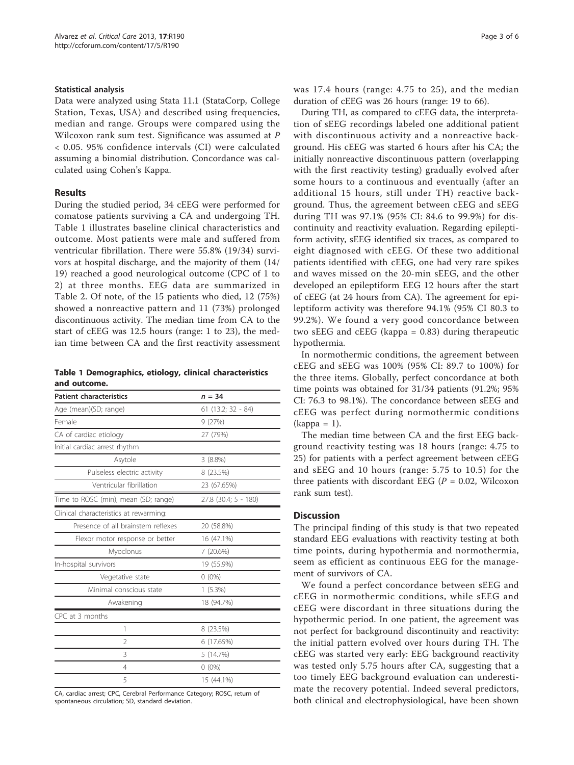# Statistical analysis

Data were analyzed using Stata 11.1 (StataCorp, College Station, Texas, USA) and described using frequencies, median and range. Groups were compared using the Wilcoxon rank sum test. Significance was assumed at P < 0.05. 95% confidence intervals (CI) were calculated assuming a binomial distribution. Concordance was calculated using Cohen's Kappa.

# Results

During the studied period, 34 cEEG were performed for comatose patients surviving a CA and undergoing TH. Table 1 illustrates baseline clinical characteristics and outcome. Most patients were male and suffered from ventricular fibrillation. There were 55.8% (19/34) survivors at hospital discharge, and the majority of them (14/ 19) reached a good neurological outcome (CPC of 1 to 2) at three months. EEG data are summarized in Table [2](#page-3-0). Of note, of the 15 patients who died, 12 (75%) showed a nonreactive pattern and 11 (73%) prolonged discontinuous activity. The median time from CA to the start of cEEG was 12.5 hours (range: 1 to 23), the median time between CA and the first reactivity assessment

Table 1 Demographics, etiology, clinical characteristics and outcome.

| <b>Patient characteristics</b>         | $n = 34$             |  |  |
|----------------------------------------|----------------------|--|--|
| Age (mean)(SD; range)                  | $61$ (13.2; 32 - 84) |  |  |
| Female                                 | 9(27%)               |  |  |
| CA of cardiac etiology                 | 27 (79%)             |  |  |
| Initial cardiac arrest rhythm          |                      |  |  |
| Asytole                                | $3(8.8\%)$           |  |  |
| Pulseless electric activity            | 8 (23.5%)            |  |  |
| Ventricular fibrillation               | 23 (67.65%)          |  |  |
| Time to ROSC (min), mean (SD; range)   | 27.8 (30.4; 5 - 180) |  |  |
| Clinical characteristics at rewarming: |                      |  |  |
| Presence of all brainstem reflexes     | 20 (58.8%)           |  |  |
| Flexor motor response or better        | 16 (47.1%)           |  |  |
| Myoclonus                              | 7(20.6%)             |  |  |
| In-hospital survivors                  | 19 (55.9%)           |  |  |
| Vegetative state                       | $0(0\%)$             |  |  |
| Minimal conscious state                | $1(5.3\%)$           |  |  |
| Awakening                              | 18 (94.7%)           |  |  |
| CPC at 3 months                        |                      |  |  |
| 1                                      | 8 (23.5%)            |  |  |
| $\mathcal{P}$                          | 6 (17.65%)           |  |  |
| 3                                      | 5 (14.7%)            |  |  |
| 4                                      | $0(0\%)$             |  |  |
| 5                                      | 15 (44.1%)           |  |  |

CA, cardiac arrest; CPC, Cerebral Performance Category; ROSC, return of spontaneous circulation; SD, standard deviation.

was 17.4 hours (range: 4.75 to 25), and the median duration of cEEG was 26 hours (range: 19 to 66).

During TH, as compared to cEEG data, the interpretation of sEEG recordings labeled one additional patient with discontinuous activity and a nonreactive background. His cEEG was started 6 hours after his CA; the initially nonreactive discontinuous pattern (overlapping with the first reactivity testing) gradually evolved after some hours to a continuous and eventually (after an additional 15 hours, still under TH) reactive background. Thus, the agreement between cEEG and sEEG during TH was 97.1% (95% CI: 84.6 to 99.9%) for discontinuity and reactivity evaluation. Regarding epileptiform activity, sEEG identified six traces, as compared to eight diagnosed with cEEG. Of these two additional patients identified with cEEG, one had very rare spikes and waves missed on the 20-min sEEG, and the other developed an epileptiform EEG 12 hours after the start of cEEG (at 24 hours from CA). The agreement for epileptiform activity was therefore 94.1% (95% CI 80.3 to 99.2%). We found a very good concordance between two sEEG and cEEG (kappa = 0.83) during therapeutic hypothermia.

In normothermic conditions, the agreement between cEEG and sEEG was 100% (95% CI: 89.7 to 100%) for the three items. Globally, perfect concordance at both time points was obtained for 31/34 patients (91.2%; 95% CI: 76.3 to 98.1%). The concordance between sEEG and cEEG was perfect during normothermic conditions  $(kappa = 1)$ .

The median time between CA and the first EEG background reactivity testing was 18 hours (range: 4.75 to 25) for patients with a perfect agreement between cEEG and sEEG and 10 hours (range: 5.75 to 10.5) for the three patients with discordant EEG ( $P = 0.02$ , Wilcoxon rank sum test).

# **Discussion**

The principal finding of this study is that two repeated standard EEG evaluations with reactivity testing at both time points, during hypothermia and normothermia, seem as efficient as continuous EEG for the management of survivors of CA.

We found a perfect concordance between sEEG and cEEG in normothermic conditions, while sEEG and cEEG were discordant in three situations during the hypothermic period. In one patient, the agreement was not perfect for background discontinuity and reactivity: the initial pattern evolved over hours during TH. The cEEG was started very early: EEG background reactivity was tested only 5.75 hours after CA, suggesting that a too timely EEG background evaluation can underestimate the recovery potential. Indeed several predictors, both clinical and electrophysiological, have been shown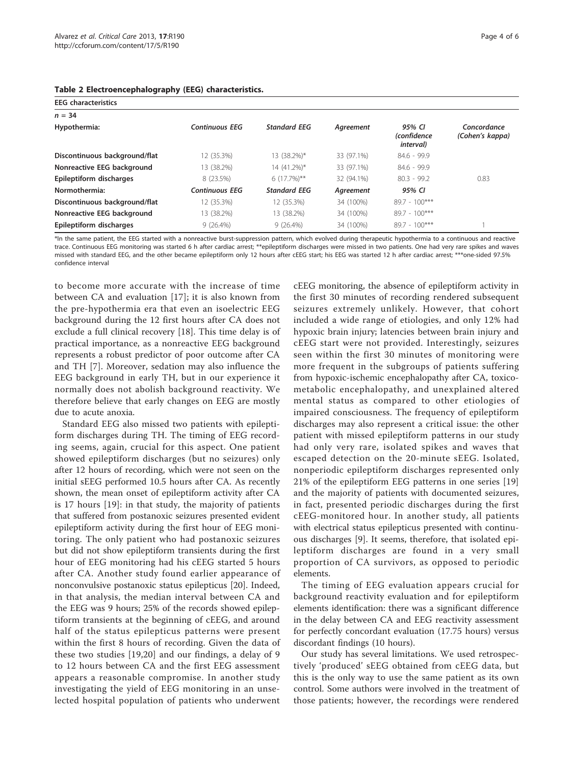| <b>EEG</b> characteristics    |                       |                     |            |                                                    |                                |  |  |
|-------------------------------|-----------------------|---------------------|------------|----------------------------------------------------|--------------------------------|--|--|
| $n = 34$                      |                       |                     |            |                                                    |                                |  |  |
| Hypothermia:                  | <b>Continuous EEG</b> | <b>Standard EEG</b> | Agreement  | 95% CI<br><i>(confidence)</i><br><i>interval</i> ) | Concordance<br>(Cohen's kappa) |  |  |
| Discontinuous background/flat | 12 (35.3%)            | 13 (38.2%)*         | 33 (97.1%) | $84.6 - 99.9$                                      |                                |  |  |
| Nonreactive EEG background    | 13 (38.2%)            | 14 (41.2%)*         | 33 (97.1%) | $84.6 - 99.9$                                      |                                |  |  |
| Epileptiform discharges       | 8 (23.5%)             | $6(17.7\%)**$       | 32 (94.1%) | $80.3 - 99.2$                                      | 0.83                           |  |  |
| Normothermia:                 | <b>Continuous EEG</b> | <b>Standard EEG</b> | Agreement  | 95% CI                                             |                                |  |  |
| Discontinuous background/flat | 12 (35.3%)            | 12 (35.3%)          | 34 (100%)  | $89.7 - 100***$                                    |                                |  |  |
| Nonreactive EEG background    | 13 (38.2%)            | 13 (38.2%)          | 34 (100%)  | $89.7 - 100***$                                    |                                |  |  |
| Epileptiform discharges       | $9(26.4\%)$           | $9(26.4\%)$         | 34 (100%)  | $89.7 - 100***$                                    |                                |  |  |

#### <span id="page-3-0"></span>Table 2 Electroencephalography (EEG) characteristics.

\*In the same patient, the EEG started with a nonreactive burst-suppression pattern, which evolved during therapeutic hypothermia to a continuous and reactive trace. Continuous EEG monitoring was started 6 h after cardiac arrest; \*\*epileptiform discharges were missed in two patients. One had very rare spikes and waves missed with standard EEG, and the other became epileptiform only 12 hours after cEEG start; his EEG was started 12 h after cardiac arrest; \*\*\*one-sided 97.5% confidence interval

to become more accurate with the increase of time between CA and evaluation [\[17](#page-5-0)]; it is also known from the pre-hypothermia era that even an isoelectric EEG background during the 12 first hours after CA does not exclude a full clinical recovery [[18\]](#page-5-0). This time delay is of practical importance, as a nonreactive EEG background represents a robust predictor of poor outcome after CA and TH [\[7](#page-5-0)]. Moreover, sedation may also influence the EEG background in early TH, but in our experience it normally does not abolish background reactivity. We therefore believe that early changes on EEG are mostly due to acute anoxia.

Standard EEG also missed two patients with epileptiform discharges during TH. The timing of EEG recording seems, again, crucial for this aspect. One patient showed epileptiform discharges (but no seizures) only after 12 hours of recording, which were not seen on the initial sEEG performed 10.5 hours after CA. As recently shown, the mean onset of epileptiform activity after CA is 17 hours [[19](#page-5-0)]: in that study, the majority of patients that suffered from postanoxic seizures presented evident epileptiform activity during the first hour of EEG monitoring. The only patient who had postanoxic seizures but did not show epileptiform transients during the first hour of EEG monitoring had his cEEG started 5 hours after CA. Another study found earlier appearance of nonconvulsive postanoxic status epilepticus [\[20\]](#page-5-0). Indeed, in that analysis, the median interval between CA and the EEG was 9 hours; 25% of the records showed epileptiform transients at the beginning of cEEG, and around half of the status epilepticus patterns were present within the first 8 hours of recording. Given the data of these two studies [\[19](#page-5-0),[20\]](#page-5-0) and our findings, a delay of 9 to 12 hours between CA and the first EEG assessment appears a reasonable compromise. In another study investigating the yield of EEG monitoring in an unselected hospital population of patients who underwent

cEEG monitoring, the absence of epileptiform activity in the first 30 minutes of recording rendered subsequent seizures extremely unlikely. However, that cohort included a wide range of etiologies, and only 12% had hypoxic brain injury; latencies between brain injury and cEEG start were not provided. Interestingly, seizures seen within the first 30 minutes of monitoring were more frequent in the subgroups of patients suffering from hypoxic-ischemic encephalopathy after CA, toxicometabolic encephalopathy, and unexplained altered mental status as compared to other etiologies of impaired consciousness. The frequency of epileptiform discharges may also represent a critical issue: the other patient with missed epileptiform patterns in our study had only very rare, isolated spikes and waves that escaped detection on the 20-minute sEEG. Isolated, nonperiodic epileptiform discharges represented only 21% of the epileptiform EEG patterns in one series [\[19](#page-5-0)] and the majority of patients with documented seizures, in fact, presented periodic discharges during the first cEEG-monitored hour. In another study, all patients with electrical status epilepticus presented with continuous discharges [[9](#page-5-0)]. It seems, therefore, that isolated epileptiform discharges are found in a very small proportion of CA survivors, as opposed to periodic elements.

The timing of EEG evaluation appears crucial for background reactivity evaluation and for epileptiform elements identification: there was a significant difference in the delay between CA and EEG reactivity assessment for perfectly concordant evaluation (17.75 hours) versus discordant findings (10 hours).

Our study has several limitations. We used retrospectively 'produced' sEEG obtained from cEEG data, but this is the only way to use the same patient as its own control. Some authors were involved in the treatment of those patients; however, the recordings were rendered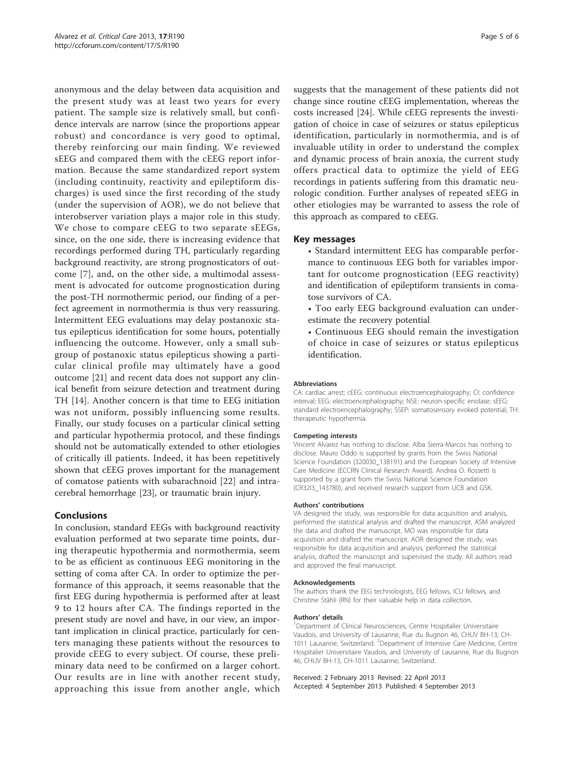anonymous and the delay between data acquisition and the present study was at least two years for every patient. The sample size is relatively small, but confidence intervals are narrow (since the proportions appear robust) and concordance is very good to optimal, thereby reinforcing our main finding. We reviewed sEEG and compared them with the cEEG report information. Because the same standardized report system (including continuity, reactivity and epileptiform discharges) is used since the first recording of the study (under the supervision of AOR), we do not believe that interobserver variation plays a major role in this study. We chose to compare cEEG to two separate sEEGs, since, on the one side, there is increasing evidence that recordings performed during TH, particularly regarding background reactivity, are strong prognosticators of outcome [\[7](#page-5-0)], and, on the other side, a multimodal assessment is advocated for outcome prognostication during the post-TH normothermic period, our finding of a perfect agreement in normothermia is thus very reassuring. Intermittent EEG evaluations may delay postanoxic status epilepticus identification for some hours, potentially influencing the outcome. However, only a small subgroup of postanoxic status epilepticus showing a particular clinical profile may ultimately have a good outcome [[21](#page-5-0)] and recent data does not support any clinical benefit from seizure detection and treatment during TH [\[14](#page-5-0)]. Another concern is that time to EEG initiation was not uniform, possibly influencing some results. Finally, our study focuses on a particular clinical setting and particular hypothermia protocol, and these findings should not be automatically extended to other etiologies of critically ill patients. Indeed, it has been repetitively shown that cEEG proves important for the management of comatose patients with subarachnoid [[22\]](#page-5-0) and intracerebral hemorrhage [[23](#page-5-0)], or traumatic brain injury.

# Conclusions

In conclusion, standard EEGs with background reactivity evaluation performed at two separate time points, during therapeutic hypothermia and normothermia, seem to be as efficient as continuous EEG monitoring in the setting of coma after CA. In order to optimize the performance of this approach, it seems reasonable that the first EEG during hypothermia is performed after at least 9 to 12 hours after CA. The findings reported in the present study are novel and have, in our view, an important implication in clinical practice, particularly for centers managing these patients without the resources to provide cEEG to every subject. Of course, these preliminary data need to be confirmed on a larger cohort. Our results are in line with another recent study, approaching this issue from another angle, which

suggests that the management of these patients did not change since routine cEEG implementation, whereas the costs increased [[24](#page-5-0)]. While cEEG represents the investigation of choice in case of seizures or status epilepticus identification, particularly in normothermia, and is of invaluable utility in order to understand the complex and dynamic process of brain anoxia, the current study offers practical data to optimize the yield of EEG recordings in patients suffering from this dramatic neurologic condition. Further analyses of repeated sEEG in other etiologies may be warranted to assess the role of this approach as compared to cEEG.

# Key messages

- Standard intermittent EEG has comparable performance to continuous EEG both for variables important for outcome prognostication (EEG reactivity) and identification of epileptiform transients in comatose survivors of CA.
- Too early EEG background evaluation can underestimate the recovery potential
- Continuous EEG should remain the investigation of choice in case of seizures or status epilepticus identification.

#### Abbreviations

CA: cardiac arrest; cEEG: continuous electroencephalography; CI: confidence interval; EEG: electroencephalography; NSE: neuron-specific enolase; sEEG: standard electroencephalography; SSEP: somatosensory evoked potential; TH: therapeutic hypothermia.

#### Competing interests

Vincent Alvarez has nothing to disclose. Alba Sierra-Marcos has nothing to disclose. Mauro Oddo is supported by grants from the Swiss National Science Foundation (320030\_138191) and the European Society of Intensive Care Medicine (ECCRN Clinical Research Award). Andrea O. Rossetti is supported by a grant from the Swiss National Science Foundation (CR32I3\_143780), and received research support from UCB and GSK.

#### Authors' contributions

VA designed the study, was responsible for data acquisition and analysis, performed the statistical analysis and drafted the manuscript. ASM analyzed the data and drafted the manuscript. MO was responsible for data acquisition and drafted the manuscript. AOR designed the study, was responsible for data acquisition and analysis, performed the statistical analysis, drafted the manuscript and supervised the study. All authors read and approved the final manuscript.

#### Acknowledgements

The authors thank the EEG technologists, EEG fellows, ICU fellows, and Christine Stähli (RN) for their valuable help in data collection.

#### Authors' details <sup>1</sup>

Department of Clinical Neurosciences, Centre Hospitalier Universitaire Vaudois, and University of Lausanne, Rue du Bugnon 46, CHUV BH-13, CH-1011 Lausanne, Switzerland. <sup>2</sup>Department of Intensive Care Medicine, Centre Hospitalier Universitaire Vaudois, and University of Lausanne, Rue du Bugnon 46, CHUV BH-13, CH-1011 Lausanne, Switzerland.

#### Received: 2 February 2013 Revised: 22 April 2013 Accepted: 4 September 2013 Published: 4 September 2013